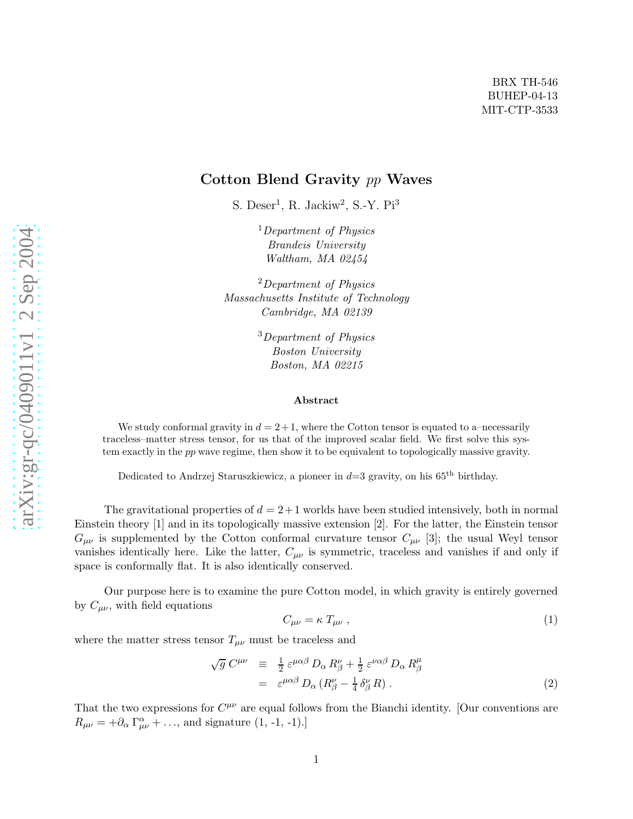# Cotton Blend Gravity pp Waves

S. Deser<sup>1</sup>, R. Jackiw<sup>2</sup>, S.-Y. Pi<sup>3</sup>

<sup>1</sup>Department of Physics Brandeis University Waltham, MA 02454

<sup>2</sup>Department of Physics Massachusetts Institute of Technology Cambridge, MA 02139

> <sup>3</sup>Department of Physics Boston University Boston, MA 02215

#### Abstract

We study conformal gravity in  $d = 2 + 1$ , where the Cotton tensor is equated to a–necessarily traceless–matter stress tensor, for us that of the improved scalar field. We first solve this system exactly in the pp wave regime, then show it to be equivalent to topologically massive gravity.

Dedicated to Andrzej Staruszkiewicz, a pioneer in  $d=3$  gravity, on his 65<sup>th</sup> birthday.

The gravitational properties of  $d = 2+1$  worlds have been studied intensively, both in normal Einstein theory [1] and in its topologically massive extension [2]. For the latter, the Einstein tensor  $G_{\mu\nu}$  is supplemented by the Cotton conformal curvature tensor  $C_{\mu\nu}$  [3]; the usual Weyl tensor vanishes identically here. Like the latter,  $C_{\mu\nu}$  is symmetric, traceless and vanishes if and only if space is conformally flat. It is also identically conserved.

Our purpose here is to examine the pure Cotton model, in which gravity is entirely governed by  $C_{\mu\nu}$ , with field equations

$$
C_{\mu\nu} = \kappa \; T_{\mu\nu} \; , \tag{1}
$$

where the matter stress tensor  $T_{\mu\nu}$  must be traceless and

$$
\sqrt{g} C^{\mu\nu} \equiv \frac{1}{2} \varepsilon^{\mu\alpha\beta} D_{\alpha} R^{\nu}_{\beta} + \frac{1}{2} \varepsilon^{\nu\alpha\beta} D_{\alpha} R^{\mu}_{\beta}
$$
  

$$
= \varepsilon^{\mu\alpha\beta} D_{\alpha} (R^{\nu}_{\beta} - \frac{1}{4} \delta^{\nu}_{\beta} R) . \tag{2}
$$

That the two expressions for  $C^{\mu\nu}$  are equal follows from the Bianchi identity. [Our conventions are  $R_{\mu\nu} = +\partial_{\alpha} \Gamma^{\alpha}_{\mu\nu} + \dots$ , and signature (1, -1, -1).]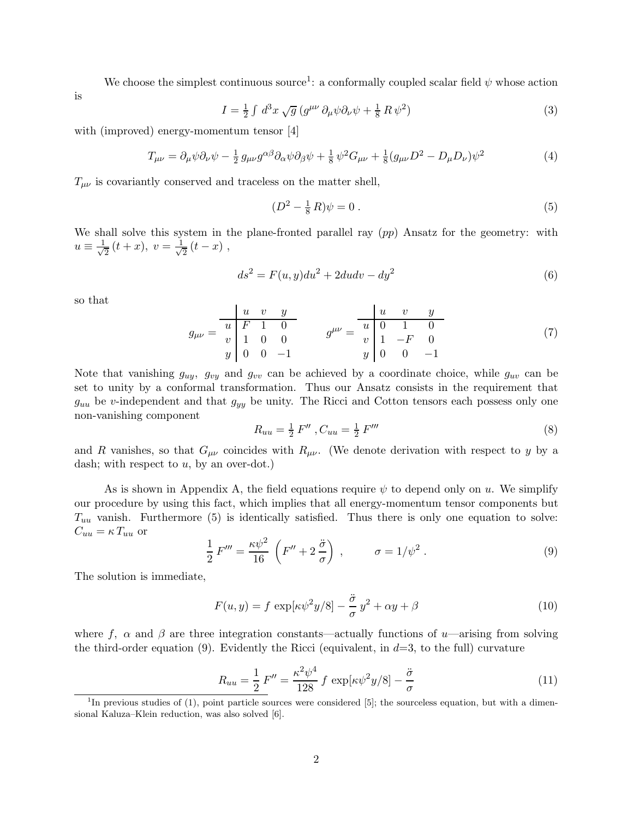We choose the simplest continuous source<sup>1</sup>: a conformally coupled scalar field  $\psi$  whose action

$$
I = \frac{1}{2} \int d^3x \sqrt{g} \left( g^{\mu\nu} \partial_{\mu}\psi \partial_{\nu}\psi + \frac{1}{8} R \psi^2 \right) \tag{3}
$$

with (improved) energy-momentum tensor [4]

$$
T_{\mu\nu} = \partial_{\mu}\psi\partial_{\nu}\psi - \frac{1}{2}g_{\mu\nu}g^{\alpha\beta}\partial_{\alpha}\psi\partial_{\beta}\psi + \frac{1}{8}\psi^2G_{\mu\nu} + \frac{1}{8}(g_{\mu\nu}D^2 - D_{\mu}D_{\nu})\psi^2
$$
(4)

 $T_{\mu\nu}$  is covariantly conserved and traceless on the matter shell,

$$
(D2 - \frac{1}{8} R)\psi = 0.
$$
 (5)

We shall solve this system in the plane-fronted parallel ray  $(pp)$  Ansatz for the geometry: with  $u \equiv \frac{1}{\sqrt{2}}$  $\frac{1}{2}(t+x), v=\frac{1}{\sqrt{2}}$  $\frac{1}{2}(t-x)$ ,

$$
ds^2 = F(u, y)du^2 + 2du dv - dy^2
$$
\n<sup>(6)</sup>

so that

is

$$
g_{\mu\nu} = \begin{array}{c|cccc} u & v & y \\ \hline u & F & 1 & 0 \\ v & 1 & 0 & 0 \\ y & 0 & 0 & -1 \end{array} \qquad g^{\mu\nu} = \begin{array}{c|cccc} u & v & y \\ \hline u & 0 & 1 & 0 \\ v & 1 & -F & 0 \\ y & 0 & 0 & -1 \end{array} \tag{7}
$$

Note that vanishing  $g_{uy}$ ,  $g_{vy}$  and  $g_{vv}$  can be achieved by a coordinate choice, while  $g_{uv}$  can be set to unity by a conformal transformation. Thus our Ansatz consists in the requirement that  $g_{uu}$  be v-independent and that  $g_{yy}$  be unity. The Ricci and Cotton tensors each possess only one non-vanishing component

$$
R_{uu} = \frac{1}{2} F'' , C_{uu} = \frac{1}{2} F'''
$$
\n(8)

and R vanishes, so that  $G_{\mu\nu}$  coincides with  $R_{\mu\nu}$ . (We denote derivation with respect to y by a dash; with respect to  $u$ , by an over-dot.)

As is shown in Appendix A, the field equations require  $\psi$  to depend only on u. We simplify our procedure by using this fact, which implies that all energy-momentum tensor components but  $T_{uu}$  vanish. Furthermore (5) is identically satisfied. Thus there is only one equation to solve:  $C_{uu} = \kappa T_{uu}$  or

$$
\frac{1}{2}F''' = \frac{\kappa\psi^2}{16} \left(F'' + 2\frac{\ddot{\sigma}}{\sigma}\right) , \qquad \sigma = 1/\psi^2 . \qquad (9)
$$

The solution is immediate,

$$
F(u, y) = f \exp[\kappa \psi^2 y/8] - \frac{\ddot{\sigma}}{\sigma} y^2 + \alpha y + \beta \tag{10}
$$

where f,  $\alpha$  and  $\beta$  are three integration constants—actually functions of u—arising from solving the third-order equation (9). Evidently the Ricci (equivalent, in  $d=3$ , to the full) curvature

$$
R_{uu} = \frac{1}{2} F'' = \frac{\kappa^2 \psi^4}{128} f \exp[\kappa \psi^2 y/8] - \frac{\ddot{\sigma}}{\sigma}
$$
 (11)

<sup>&</sup>lt;sup>1</sup>In previous studies of (1), point particle sources were considered [5]; the sourceless equation, but with a dimensional Kaluza–Klein reduction, was also solved [6].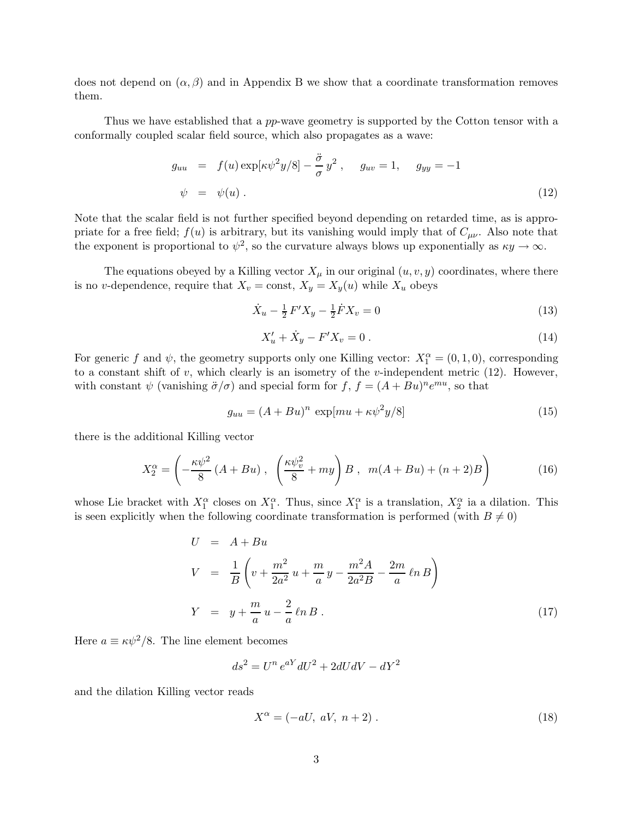does not depend on  $(\alpha, \beta)$  and in Appendix B we show that a coordinate transformation removes them.

Thus we have established that a pp-wave geometry is supported by the Cotton tensor with a conformally coupled scalar field source, which also propagates as a wave:

$$
g_{uu} = f(u) \exp[\kappa \psi^2 y/8] - \frac{\ddot{\sigma}}{\sigma} y^2 , \quad g_{uv} = 1, \quad g_{yy} = -1
$$
  

$$
\psi = \psi(u) . \tag{12}
$$

Note that the scalar field is not further specified beyond depending on retarded time, as is appropriate for a free field;  $f(u)$  is arbitrary, but its vanishing would imply that of  $C_{\mu\nu}$ . Also note that the exponent is proportional to  $\psi^2$ , so the curvature always blows up exponentially as  $\kappa y \to \infty$ .

The equations obeyed by a Killing vector  $X_\mu$  in our original  $(u,v,y)$  coordinates, where there is no v-dependence, require that  $X_v = \text{const}, X_y = X_y(u)$  while  $X_u$  obeys

$$
\dot{X}_u - \frac{1}{2} F' X_y - \frac{1}{2} \dot{F} X_v = 0 \tag{13}
$$

$$
X'_u + \dot{X}_y - F'X_v = 0.
$$
\n(14)

For generic f and  $\psi$ , the geometry supports only one Killing vector:  $X_1^{\alpha} = (0, 1, 0)$ , corresponding to a constant shift of  $v$ , which clearly is an isometry of the  $v$ -independent metric (12). However, with constant  $\psi$  (vanishing  $\ddot{\sigma}/\sigma$ ) and special form for  $f, f = (A + Bu)^n e^{mu}$ , so that

$$
g_{uu} = (A + Bu)^n \exp[mu + \kappa \psi^2 y/8]
$$
\n(15)

there is the additional Killing vector

$$
X_2^{\alpha} = \left(-\frac{\kappa \psi^2}{8} \left(A + Bu\right), \ \left(\frac{\kappa \psi_v^2}{8} + my\right) B \ , \ m(A + Bu) + (n+2)B\right) \tag{16}
$$

whose Lie bracket with  $X_1^{\alpha}$  closes on  $X_1^{\alpha}$ . Thus, since  $X_1^{\alpha}$  is a translation,  $X_2^{\alpha}$  ia a dilation. This is seen explicitly when the following coordinate transformation is performed (with  $B \neq 0$ )

$$
U = A + Bu
$$
  
\n
$$
V = \frac{1}{B} \left( v + \frac{m^2}{2a^2} u + \frac{m}{a} y - \frac{m^2 A}{2a^2 B} - \frac{2m}{a} \ln B \right)
$$
  
\n
$$
Y = y + \frac{m}{a} u - \frac{2}{a} \ln B
$$
 (17)

Here  $a \equiv \kappa \psi^2/8$ . The line element becomes

$$
ds^2 = U^n e^{aY} dU^2 + 2dUdV - dY^2
$$

and the dilation Killing vector reads

$$
X^{\alpha} = (-aU, aV, n+2) \tag{18}
$$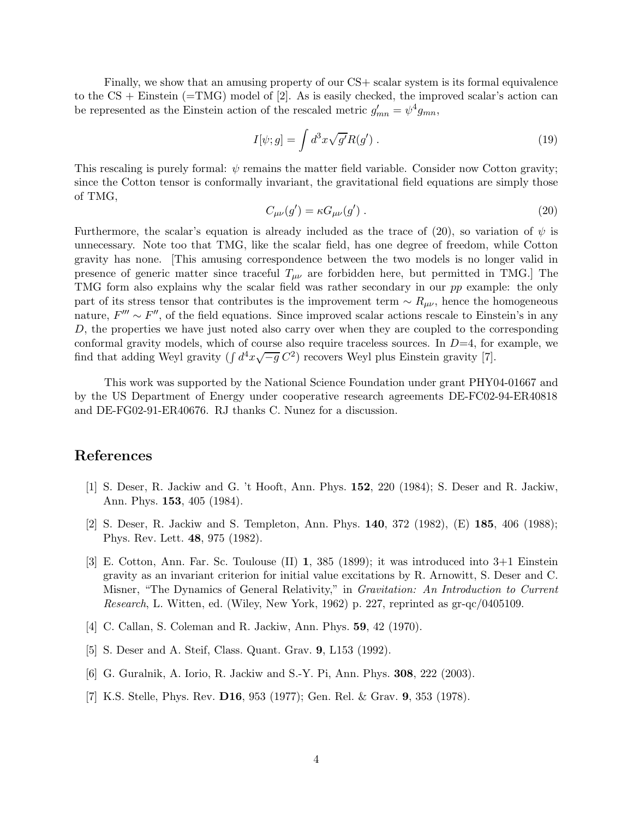Finally, we show that an amusing property of our CS+ scalar system is its formal equivalence to the  $CS +$  Einstein (=TMG) model of [2]. As is easily checked, the improved scalar's action can be represented as the Einstein action of the rescaled metric  $g'_{mn} = \psi^4 g_{mn}$ ,

$$
I[\psi; g] = \int d^3x \sqrt{g'} R(g') . \qquad (19)
$$

This rescaling is purely formal:  $\psi$  remains the matter field variable. Consider now Cotton gravity; since the Cotton tensor is conformally invariant, the gravitational field equations are simply those of TMG,

$$
C_{\mu\nu}(g') = \kappa G_{\mu\nu}(g')\,. \tag{20}
$$

Furthermore, the scalar's equation is already included as the trace of (20), so variation of  $\psi$  is unnecessary. Note too that TMG, like the scalar field, has one degree of freedom, while Cotton gravity has none. [This amusing correspondence between the two models is no longer valid in presence of generic matter since traceful  $T_{\mu\nu}$  are forbidden here, but permitted in TMG.] The TMG form also explains why the scalar field was rather secondary in our pp example: the only part of its stress tensor that contributes is the improvement term  $\sim R_{\mu\nu}$ , hence the homogeneous nature,  $F''' \sim F''$ , of the field equations. Since improved scalar actions rescale to Einstein's in any D, the properties we have just noted also carry over when they are coupled to the corresponding conformal gravity models, which of course also require traceless sources. In  $D=4$ , for example, we find that adding Weyl gravity ( $\int d^4x \sqrt{-g} C^2$ ) recovers Weyl plus Einstein gravity [7].

This work was supported by the National Science Foundation under grant PHY04-01667 and by the US Department of Energy under cooperative research agreements DE-FC02-94-ER40818 and DE-FG02-91-ER40676. RJ thanks C. Nunez for a discussion.

## References

- [1] S. Deser, R. Jackiw and G. 't Hooft, Ann. Phys. 152, 220 (1984); S. Deser and R. Jackiw, Ann. Phys. 153, 405 (1984).
- [2] S. Deser, R. Jackiw and S. Templeton, Ann. Phys. 140, 372 (1982), (E) 185, 406 (1988); Phys. Rev. Lett. 48, 975 (1982).
- [3] E. Cotton, Ann. Far. Sc. Toulouse (II) 1, 385 (1899); it was introduced into 3+1 Einstein gravity as an invariant criterion for initial value excitations by R. Arnowitt, S. Deser and C. Misner, "The Dynamics of General Relativity," in *Gravitation: An Introduction to Current* Research, L. Witten, ed. (Wiley, New York, 1962) p. 227, reprinted as gr-qc/0405109.
- [4] C. Callan, S. Coleman and R. Jackiw, Ann. Phys. 59, 42 (1970).
- [5] S. Deser and A. Steif, Class. Quant. Grav. 9, L153 (1992).
- [6] G. Guralnik, A. Iorio, R. Jackiw and S.-Y. Pi, Ann. Phys. 308, 222 (2003).
- [7] K.S. Stelle, Phys. Rev. D16, 953 (1977); Gen. Rel. & Grav. 9, 353 (1978).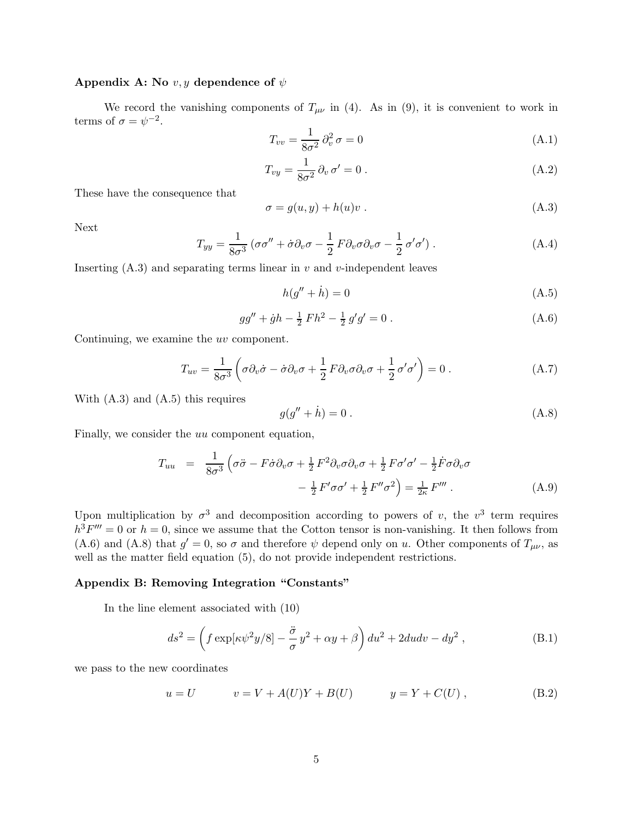### Appendix A: No  $v, y$  dependence of  $\psi$

We record the vanishing components of  $T_{\mu\nu}$  in (4). As in (9), it is convenient to work in terms of  $\sigma = \psi^{-2}$ .

$$
T_{vv} = \frac{1}{8\sigma^2} \partial_v^2 \sigma = 0 \tag{A.1}
$$

$$
T_{vy} = \frac{1}{8\sigma^2} \partial_v \sigma' = 0.
$$
\n(A.2)

These have the consequence that

$$
\sigma = g(u, y) + h(u)v \tag{A.3}
$$

Next

$$
T_{yy} = \frac{1}{8\sigma^3} \left( \sigma \sigma'' + \dot{\sigma} \partial_v \sigma - \frac{1}{2} F \partial_v \sigma \partial_v \sigma - \frac{1}{2} \sigma' \sigma' \right).
$$
 (A.4)

Inserting  $(A.3)$  and separating terms linear in v and v-independent leaves

$$
h(g'' + \dot{h}) = 0 \tag{A.5}
$$

$$
gg'' + \dot{g}h - \frac{1}{2}Fh^2 - \frac{1}{2}g'g' = 0.
$$
 (A.6)

Continuing, we examine the uv component.

$$
T_{uv} = \frac{1}{8\sigma^3} \left( \sigma \partial_v \dot{\sigma} - \dot{\sigma} \partial_v \sigma + \frac{1}{2} F \partial_v \sigma \partial_v \sigma + \frac{1}{2} \sigma' \sigma' \right) = 0.
$$
 (A.7)

With (A.3) and (A.5) this requires

$$
g(g'' + \dot{h}) = 0.
$$
 (A.8)

Finally, we consider the uu component equation,

$$
T_{uu} = \frac{1}{8\sigma^3} \left( \sigma \ddot{\sigma} - F \dot{\sigma} \partial_v \sigma + \frac{1}{2} F^2 \partial_v \sigma \partial_v \sigma + \frac{1}{2} F \sigma' \sigma' - \frac{1}{2} \dot{F} \sigma \partial_v \sigma \right. \\
\left. - \frac{1}{2} F' \sigma \sigma' + \frac{1}{2} F'' \sigma^2 \right) = \frac{1}{2\kappa} F''' \,. \tag{A.9}
$$

Upon multiplication by  $\sigma^3$  and decomposition according to powers of v, the  $v^3$  term requires  $h^3F''' = 0$  or  $h = 0$ , since we assume that the Cotton tensor is non-vanishing. It then follows from (A.6) and (A.8) that  $g' = 0$ , so  $\sigma$  and therefore  $\psi$  depend only on u. Other components of  $T_{\mu\nu}$ , as well as the matter field equation (5), do not provide independent restrictions.

## Appendix B: Removing Integration "Constants"

In the line element associated with (10)

$$
ds^{2} = \left(f \exp[\kappa \psi^{2} y/8] - \frac{\ddot{\sigma}}{\sigma} y^{2} + \alpha y + \beta\right) du^{2} + 2du dv - dy^{2}, \qquad (B.1)
$$

we pass to the new coordinates

$$
u = U
$$
  $v = V + A(U)Y + B(U)$   $y = Y + C(U)$ , (B.2)